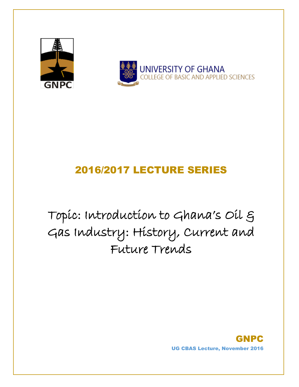



# 2016/2017 LECTURE SERIES

Topic: Introduction to Ghana's Oil & Gas Industry: History, Current and Future Trends

> GNPC UG CBAS Lecture, November 2016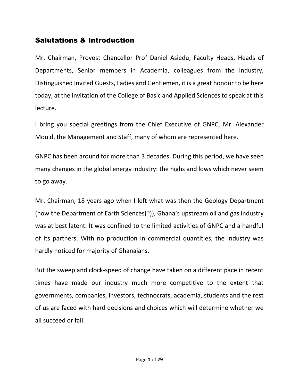### Salutations & Introduction

Mr. Chairman, Provost Chancellor Prof Daniel Asiedu, Faculty Heads, Heads of Departments, Senior members in Academia, colleagues from the Industry, Distinguished Invited Guests, Ladies and Gentlemen, it is a great honour to be here today, at the invitation of the College of Basic and Applied Sciences to speak at this lecture.

I bring you special greetings from the Chief Executive of GNPC, Mr. Alexander Mould, the Management and Staff, many of whom are represented here.

GNPC has been around for more than 3 decades. During this period, we have seen many changes in the global energy industry: the highs and lows which never seem to go away.

Mr. Chairman, 18 years ago when I left what was then the Geology Department (now the Department of Earth Sciences(?)), Ghana's upstream oil and gas industry was at best latent. It was confined to the limited activities of GNPC and a handful of its partners. With no production in commercial quantities, the industry was hardly noticed for majority of Ghanaians.

But the sweep and clock-speed of change have taken on a different pace in recent times have made our industry much more competitive to the extent that governments, companies, investors, technocrats, academia, students and the rest of us are faced with hard decisions and choices which will determine whether we all succeed or fail.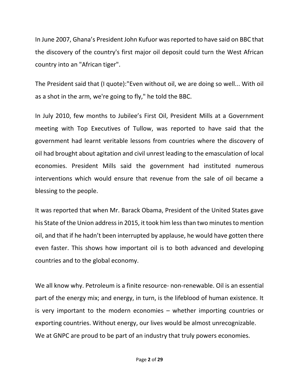In June 2007, Ghana's President John Kufuor was reported to have said on BBC that the discovery of the country's first major oil deposit could turn the West African country into an "African tiger".

The President said that (I quote):"Even without oil, we are doing so well... With oil as a shot in the arm, we're going to fly," he told the BBC.

In July 2010, few months to Jubilee's First Oil, President Mills at a Government meeting with Top Executives of Tullow, was reported to have said that the government had learnt veritable lessons from countries where the discovery of oil had brought about agitation and civil unrest leading to the emasculation of local economies. President Mills said the government had instituted numerous interventions which would ensure that revenue from the sale of oil became a blessing to the people.

It was reported that when Mr. Barack Obama, President of the United States gave his State of the Union address in 2015, it took him less than two minutes to mention oil, and that if he hadn't been interrupted by applause, he would have gotten there even faster. This shows how important oil is to both advanced and developing countries and to the global economy.

We all know why. Petroleum is a finite resource- non-renewable. Oil is an essential part of the energy mix; and energy, in turn, is the lifeblood of human existence. It is very important to the modern economies – whether importing countries or exporting countries. Without energy, our lives would be almost unrecognizable. We at GNPC are proud to be part of an industry that truly powers economies.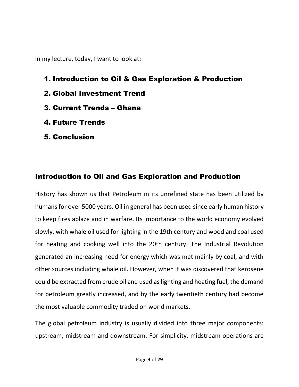In my lecture, today, I want to look at:

- 1. Introduction to Oil & Gas Exploration & Production
- 2. Global Investment Trend
- 3. Current Trends Ghana
- 4. Future Trends
- 5. Conclusion

## Introduction to Oil and Gas Exploration and Production

History has shown us that Petroleum in its unrefined state has been utilized by humans for over 5000 years. Oil in general has been used since early [human history](https://en.wikipedia.org/wiki/Human_history) to keep fires ablaze and in [warfare.](https://en.wikipedia.org/wiki/War) Its importance to the world economy evolved slowly, with [whale oil](https://en.wikipedia.org/wiki/Whale_oil) used for lighting in the 19th century and wood and coal used for heating and cooking well into the 20th century. The [Industrial Revolution](https://en.wikipedia.org/wiki/Industrial_Revolution) generated an increasing need for energy which was met mainly by coal, and with other sources including whale oil. However, when it was discovered that [kerosene](https://en.wikipedia.org/wiki/Kerosene) could be extracted fro[m crude oil](https://en.wikipedia.org/wiki/Crude_oil) and used as lighting and heating fuel, the demand for petroleum greatly increased, and by the early twentieth century had become the most valuable commodity traded on world markets.

The global petroleum industry is usually divided into three major components: [upstream,](https://en.wikipedia.org/wiki/Upstream_%28oil_industry%29) [midstream](https://en.wikipedia.org/wiki/Midstream) and [downstream.](https://en.wikipedia.org/wiki/Downstream_%28oil_industry%29) For simplicity, midstream operations are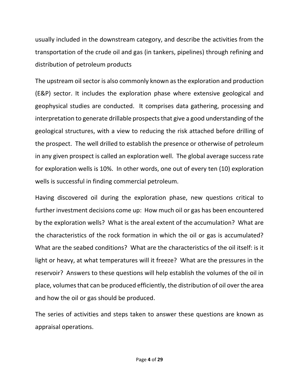usually included in the downstream category, and describe the activities from the transportation of the crude oil and gas (in tankers, pipelines) through refining and distribution of petroleum products

The upstream oil sector is also commonly known as the exploration and production (E&P) sector. It includes the exploration phase where extensive geological and geophysical studies are conducted. It comprises data gathering, processing and interpretation to generate drillable prospects that give a good understanding of the geological structures, with a view to reducing the risk attached before drilling of the prospect. The well drilled to establish the presence or otherwise of petroleum in any given prospect is called an exploration well. The global average success rate for exploration wells is 10%. In other words, one out of every ten (10) exploration wells is successful in finding commercial petroleum.

Having discovered oil during the exploration phase, new questions critical to further investment decisions come up: How much oil or gas has been encountered by the exploration wells? What is the areal extent of the accumulation? What are the characteristics of the rock formation in which the oil or gas is accumulated? What are the seabed conditions? What are the characteristics of the oil itself: is it light or heavy, at what temperatures will it freeze? What are the pressures in the reservoir? Answers to these questions will help establish the volumes of the oil in place, volumes that can be produced efficiently, the distribution of oil over the area and how the oil or gas should be produced.

The series of activities and steps taken to answer these questions are known as appraisal operations.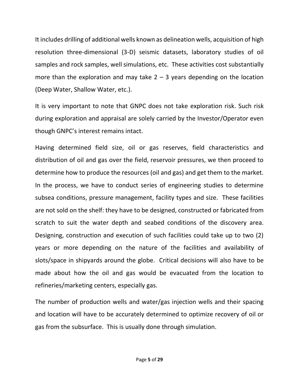It includes drilling of additional wells known as delineation wells, acquisition of high resolution three-dimensional (3-D) seismic datasets, laboratory studies of oil samples and rock samples, well simulations, etc. These activities cost substantially more than the exploration and may take  $2 - 3$  years depending on the location (Deep Water, Shallow Water, etc.).

It is very important to note that GNPC does not take exploration risk. Such risk during exploration and appraisal are solely carried by the Investor/Operator even though GNPC's interest remains intact.

Having determined field size, oil or gas reserves, field characteristics and distribution of oil and gas over the field, reservoir pressures, we then proceed to determine how to produce the resources (oil and gas) and get them to the market. In the process, we have to conduct series of engineering studies to determine subsea conditions, pressure management, facility types and size. These facilities are not sold on the shelf: they have to be designed, constructed or fabricated from scratch to suit the water depth and seabed conditions of the discovery area. Designing, construction and execution of such facilities could take up to two (2) years or more depending on the nature of the facilities and availability of slots/space in shipyards around the globe. Critical decisions will also have to be made about how the oil and gas would be evacuated from the location to refineries/marketing centers, especially gas.

The number of production wells and water/gas injection wells and their spacing and location will have to be accurately determined to optimize recovery of oil or gas from the subsurface. This is usually done through simulation.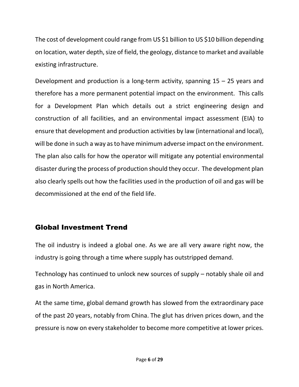The cost of development could range from US \$1 billion to US \$10 billion depending on location, water depth, size of field, the geology, distance to market and available existing infrastructure.

Development and production is a long-term activity, spanning  $15 - 25$  years and therefore has a more permanent potential impact on the environment. This calls for a Development Plan which details out a strict engineering design and construction of all facilities, and an environmental impact assessment (EIA) to ensure that development and production activities by law (international and local), will be done in such a way as to have minimum adverse impact on the environment. The plan also calls for how the operator will mitigate any potential environmental disaster during the process of production should they occur. The development plan also clearly spells out how the facilities used in the production of oil and gas will be decommissioned at the end of the field life.

## Global Investment Trend

The oil industry is indeed a global one. As we are all very aware right now, the industry is going through a time where supply has outstripped demand.

Technology has continued to unlock new sources of supply – notably shale oil and gas in North America.

At the same time, global demand growth has slowed from the extraordinary pace of the past 20 years, notably from China. The glut has driven prices down, and the pressure is now on every stakeholder to become more competitive at lower prices.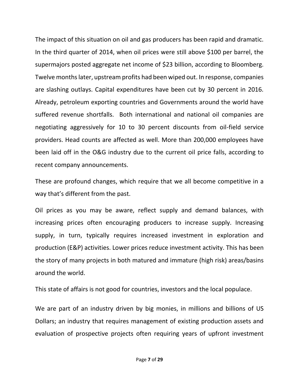The impact of this situation on oil and gas producers has been rapid and dramatic. In the third quarter of 2014, when oil prices were still above \$100 per barrel, the supermajors posted aggregate net income of \$23 billion, according to Bloomberg. Twelve months later, upstream profits had been wiped out. In response, companies are slashing outlays. Capital expenditures have been cut by 30 percent in 2016. Already, petroleum exporting countries and Governments around the world have suffered revenue shortfalls. Both international and national oil companies are negotiating aggressively for 10 to 30 percent discounts from oil-field service providers. Head counts are affected as well. More than 200,000 employees have been laid off in the O&G industry due to the current oil price falls, according to recent company announcements.

These are profound changes, which require that we all become competitive in a way that's different from the past.

Oil prices as you may be aware, reflect supply and demand balances, with increasing prices often encouraging producers to increase supply. Increasing supply, in turn, typically requires increased investment in exploration and production (E&P) activities. Lower prices reduce investment activity. This has been the story of many projects in both matured and immature (high risk) areas/basins around the world.

This state of affairs is not good for countries, investors and the local populace.

We are part of an industry driven by big monies, in millions and billions of US Dollars; an industry that requires management of existing production assets and evaluation of prospective projects often requiring years of upfront investment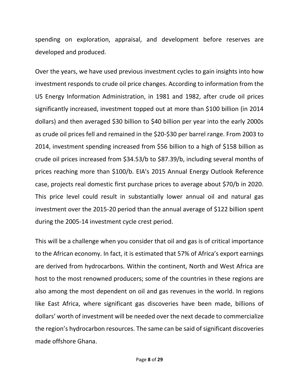spending on exploration, appraisal, and development before reserves are developed and produced.

Over the years, we have used previous investment cycles to gain insights into how investment responds to crude oil price changes. According to information from the US Energy Information Administration, in 1981 and 1982, after crude oil prices significantly increased, investment topped out at more than \$100 billion (in 2014 dollars) and then averaged \$30 billion to \$40 billion per year into the early 2000s as crude oil prices fell and remained in the \$20-\$30 per barrel range. From 2003 to 2014, investment spending increased from \$56 billion to a high of \$158 billion as crude oil prices increased from \$34.53/b to \$87.39/b, including several months of prices reaching more than \$100/b. EIA's 2015 Annual Energy Outlook Reference case, projects real domestic first purchase prices to average about \$70/b in 2020. This price level could result in substantially lower annual oil and natural gas investment over the 2015-20 period than the annual average of \$122 billion spent during the 2005-14 investment cycle crest period.

This will be a challenge when you consider that oil and gas is of critical importance to the African economy. In fact, it is estimated that 57% of Africa's export earnings are derived from hydrocarbons. Within the continent, North and West Africa are host to the most renowned producers; some of the countries in these regions are also among the most dependent on oil and gas revenues in the world. In regions like East Africa, where significant gas discoveries have been made, billions of dollars' worth of investment will be needed over the next decade to commercialize the region's hydrocarbon resources. The same can be said of significant discoveries made offshore Ghana.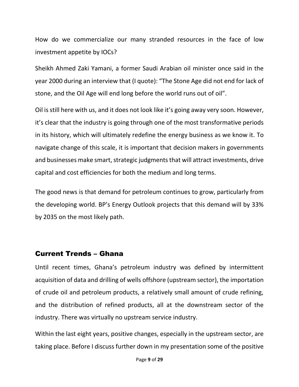How do we commercialize our many stranded resources in the face of low investment appetite by IOCs?

Sheikh Ahmed Zaki Yamani, a former Saudi Arabian oil minister once said in the year 2000 during an interview that (I quote): "The Stone Age did not end for lack of stone, and the Oil Age will end long before the world runs out of oil".

Oil is still here with us, and it does not look like it's going away very soon. However, it's clear that the industry is going through one of the most transformative periods in its history, which will ultimately redefine the energy business as we know it. To navigate change of this scale, it is important that decision makers in governments and businesses make smart, strategic judgments that will attract investments, drive capital and cost efficiencies for both the medium and long terms.

The good news is that demand for petroleum continues to grow, particularly from the developing world. BP's Energy Outlook projects that this demand will by 33% by 2035 on the most likely path.

#### Current Trends – Ghana

Until recent times, Ghana's petroleum industry was defined by intermittent acquisition of data and drilling of wells offshore (upstream sector), the importation of crude oil and petroleum products, a relatively small amount of crude refining, and the distribution of refined products, all at the downstream sector of the industry. There was virtually no upstream service industry.

Within the last eight years, positive changes, especially in the upstream sector, are taking place. Before I discuss further down in my presentation some of the positive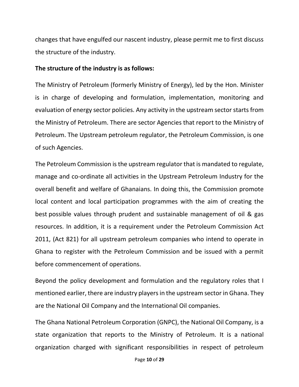changes that have engulfed our nascent industry, please permit me to first discuss the structure of the industry.

#### **The structure of the industry is as follows:**

The Ministry of Petroleum (formerly Ministry of Energy), led by the Hon. Minister is in charge of developing and formulation, implementation, monitoring and evaluation of energy sector policies. Any activity in the upstream sector starts from the Ministry of Petroleum. There are sector Agencies that report to the Ministry of Petroleum. The Upstream petroleum regulator, the Petroleum Commission, is one of such Agencies.

The Petroleum Commission is the upstream regulator that is mandated to regulate, manage and co-ordinate all activities in the Upstream Petroleum Industry for the overall benefit and welfare of Ghanaians. In doing this, the Commission promote local content and local participation programmes with the aim of creating the best possible values through prudent and sustainable management of oil & gas resources. In addition, it is a requirement under the Petroleum Commission Act 2011, (Act 821) for all upstream petroleum companies who intend to operate in Ghana to register with the Petroleum Commission and be issued with a permit before commencement of operations.

Beyond the policy development and formulation and the regulatory roles that I mentioned earlier, there are industry players in the upstream sector in Ghana. They are the National Oil Company and the International Oil companies.

The Ghana National Petroleum Corporation (GNPC), the National Oil Company, is a state organization that reports to the Ministry of Petroleum. It is a national organization charged with significant responsibilities in respect of petroleum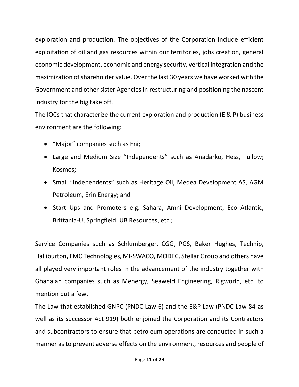exploration and production. The objectives of the Corporation include efficient exploitation of oil and gas resources within our territories, jobs creation, general economic development, economic and energy security, vertical integration and the maximization of shareholder value. Over the last 30 years we have worked with the Government and other sister Agencies in restructuring and positioning the nascent industry for the big take off.

The IOCs that characterize the current exploration and production (E & P) business environment are the following:

- "Major" companies such as Eni;
- Large and Medium Size "Independents" such as Anadarko, Hess, Tullow; Kosmos;
- Small "Independents" such as Heritage Oil, Medea Development AS, AGM Petroleum, Erin Energy; and
- Start Ups and Promoters e.g. Sahara, Amni Development, Eco Atlantic, Brittania-U, Springfield, UB Resources, etc.;

Service Companies such as Schlumberger, CGG, PGS, Baker Hughes, Technip, Halliburton, FMC Technologies, MI-SWACO, MODEC, Stellar Group and others have all played very important roles in the advancement of the industry together with Ghanaian companies such as Menergy, Seaweld Engineering, Rigworld, etc. to mention but a few.

The Law that established GNPC (PNDC Law 6) and the E&P Law (PNDC Law 84 as well as its successor Act 919) both enjoined the Corporation and its Contractors and subcontractors to ensure that petroleum operations are conducted in such a manner as to prevent adverse effects on the environment, resources and people of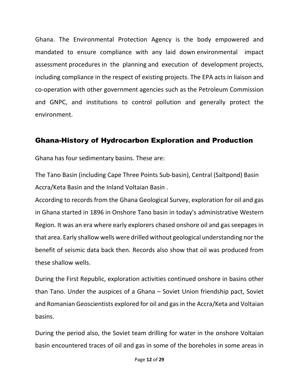Ghana. The Environmental Protection Agency is the body empowered and mandated to ensure compliance with any laid down environmental impact assessment procedures in the planning and execution of development projects, including compliance in the respect of existing projects. The EPA acts in liaison and co-operation with other government agencies such as the Petroleum Commission and GNPC, and institutions to control pollution and generally protect the environment.

#### Ghana-History of Hydrocarbon Exploration and Production

Ghana has four sedimentary basins. These are:

The Tano Basin (including Cape Three Points Sub-basin), Central (Saltpond) Basin Accra/Keta Basin and the Inland Voltaian Basin .

According to records from the Ghana Geological Survey, exploration for oil and gas in Ghana started in 1896 in Onshore Tano basin in today's administrative Western Region. It was an era where early explorers chased onshore oil and gas seepages in that area. Early shallow wells were drilled without geological understanding nor the benefit of seismic data back then. Records also show that oil was produced from these shallow wells.

During the First Republic, exploration activities continued onshore in basins other than Tano. Under the auspices of a Ghana – Soviet Union friendship pact, Soviet and Romanian Geoscientists explored for oil and gas in the Accra/Keta and Voltaian basins.

During the period also, the Soviet team drilling for water in the onshore Voltaian basin encountered traces of oil and gas in some of the boreholes in some areas in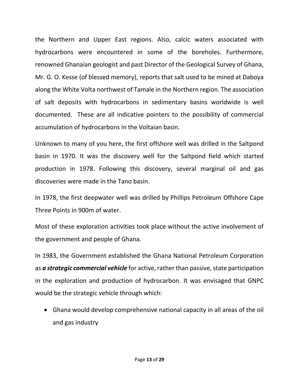the Northern and Upper East regions. Also, calcic waters associated with hydrocarbons were encountered in some of the boreholes. Furthermore, renowned Ghanaian geologist and past Director of the Geological Survey of Ghana, Mr. G. O. Kesse (of blessed memory), reports that salt used to be mined at Daboya along the White Volta northwest of Tamale in the Northern region. The association of salt deposits with hydrocarbons in sedimentary basins worldwide is well documented. These are all indicative pointers to the possibility of commercial accumulation of hydrocarbons in the Voltaian basin.

Unknown to many of you here, the first offshore well was drilled in the Saltpond basin in 1970. It was the discovery well for the Saltpond field which started production in 1978. Following this discovery, several marginal oil and gas discoveries were made in the Tano basin.

In 1978, the first deepwater well was drilled by Phillips Petroleum Offshore Cape Three Points in 900m of water.

Most of these exploration activities took place without the active involvement of the government and people of Ghana.

In 1983, the Government established the Ghana National Petroleum Corporation as *a strategic commercial vehicle* for active, rather than passive, state participation in the exploration and production of hydrocarbon. It was envisaged that GNPC would be the strategic vehicle through which:

 Ghana would develop comprehensive national capacity in all areas of the oil and gas industry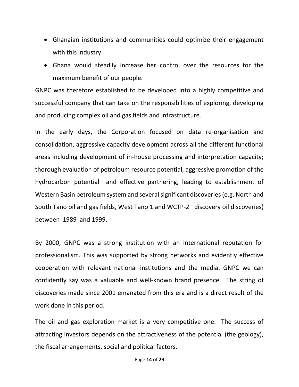- Ghanaian institutions and communities could optimize their engagement with this industry
- Ghana would steadily increase her control over the resources for the maximum benefit of our people.

GNPC was therefore established to be developed into a highly competitive and successful company that can take on the responsibilities of exploring, developing and producing complex oil and gas fields and infrastructure.

In the early days, the Corporation focused on data re-organisation and consolidation, aggressive capacity development across all the different functional areas including development of in-house processing and interpretation capacity; thorough evaluation of petroleum resource potential, aggressive promotion of the hydrocarbon potential and effective partnering, leading to establishment of Western Basin petroleum system and several significant discoveries (e.g. North and South Tano oil and gas fields, West Tano 1 and WCTP-2 discovery oil discoveries) between 1989 and 1999.

By 2000, GNPC was a strong institution with an international reputation for professionalism. This was supported by strong networks and evidently effective cooperation with relevant national institutions and the media. GNPC we can confidently say was a valuable and well-known brand presence. The string of discoveries made since 2001 emanated from this era and is a direct result of the work done in this period.

The oil and gas exploration market is a very competitive one. The success of attracting investors depends on the attractiveness of the potential (the geology), the fiscal arrangements, social and political factors.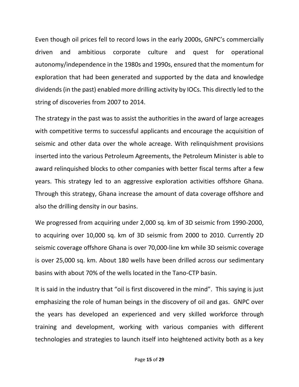Even though oil prices fell to record lows in the early 2000s, GNPC's commercially driven and ambitious corporate culture and quest for operational autonomy/independence in the 1980s and 1990s, ensured that the momentum for exploration that had been generated and supported by the data and knowledge dividends (in the past) enabled more drilling activity by IOCs. This directly led to the string of discoveries from 2007 to 2014.

The strategy in the past was to assist the authorities in the award of large acreages with competitive terms to successful applicants and encourage the acquisition of seismic and other data over the whole acreage. With relinquishment provisions inserted into the various Petroleum Agreements, the Petroleum Minister is able to award relinquished blocks to other companies with better fiscal terms after a few years. This strategy led to an aggressive exploration activities offshore Ghana. Through this strategy, Ghana increase the amount of data coverage offshore and also the drilling density in our basins.

We progressed from acquiring under 2,000 sq. km of 3D seismic from 1990-2000, to acquiring over 10,000 sq. km of 3D seismic from 2000 to 2010. Currently 2D seismic coverage offshore Ghana is over 70,000-line km while 3D seismic coverage is over 25,000 sq. km. About 180 wells have been drilled across our sedimentary basins with about 70% of the wells located in the Tano-CTP basin.

It is said in the industry that "oil is first discovered in the mind". This saying is just emphasizing the role of human beings in the discovery of oil and gas. GNPC over the years has developed an experienced and very skilled workforce through training and development, working with various companies with different technologies and strategies to launch itself into heightened activity both as a key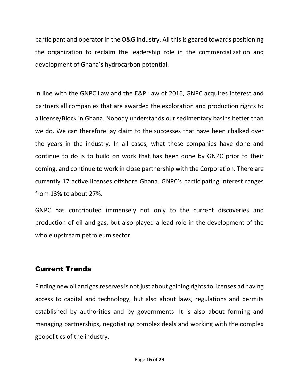participant and operator in the O&G industry. All this is geared towards positioning the organization to reclaim the leadership role in the commercialization and development of Ghana's hydrocarbon potential.

In line with the GNPC Law and the E&P Law of 2016, GNPC acquires interest and partners all companies that are awarded the exploration and production rights to a license/Block in Ghana. Nobody understands our sedimentary basins better than we do. We can therefore lay claim to the successes that have been chalked over the years in the industry. In all cases, what these companies have done and continue to do is to build on work that has been done by GNPC prior to their coming, and continue to work in close partnership with the Corporation. There are currently 17 active licenses offshore Ghana. GNPC's participating interest ranges from 13% to about 27%.

GNPC has contributed immensely not only to the current discoveries and production of oil and gas, but also played a lead role in the development of the whole upstream petroleum sector.

#### Current Trends

Finding new oil and gas reserves is not just about gaining rights to licenses ad having access to capital and technology, but also about laws, regulations and permits established by authorities and by governments. It is also about forming and managing partnerships, negotiating complex deals and working with the complex geopolitics of the industry.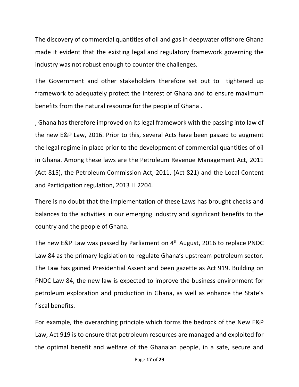The discovery of commercial quantities of oil and gas in deepwater offshore Ghana made it evident that the existing legal and regulatory framework governing the industry was not robust enough to counter the challenges.

The Government and other stakeholders therefore set out to tightened up framework to adequately protect the interest of Ghana and to ensure maximum benefits from the natural resource for the people of Ghana .

, Ghana has therefore improved on its legal framework with the passing into law of the new E&P Law, 2016. Prior to this, several Acts have been passed to augment the legal regime in place prior to the development of commercial quantities of oil in Ghana. Among these laws are the Petroleum Revenue Management Act, 2011 (Act 815), the Petroleum Commission Act, 2011, (Act 821) and the Local Content and Participation regulation, 2013 LI 2204.

There is no doubt that the implementation of these Laws has brought checks and balances to the activities in our emerging industry and significant benefits to the country and the people of Ghana.

The new E&P Law was passed by Parliament on 4<sup>th</sup> August, 2016 to replace PNDC Law 84 as the primary legislation to regulate Ghana's upstream petroleum sector. The Law has gained Presidential Assent and been gazette as Act 919. Building on PNDC Law 84, the new law is expected to improve the business environment for petroleum exploration and production in Ghana, as well as enhance the State's fiscal benefits.

For example, the overarching principle which forms the bedrock of the New E&P Law, Act 919 is to ensure that petroleum resources are managed and exploited for the optimal benefit and welfare of the Ghanaian people, in a safe, secure and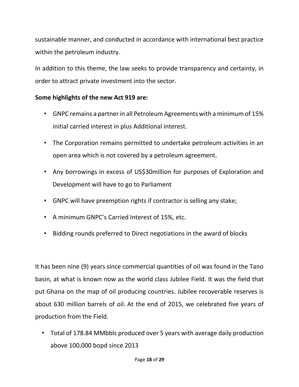sustainable manner, and conducted in accordance with international best practice within the petroleum industry.

In addition to this theme, the law seeks to provide transparency and certainty, in order to attract private investment into the sector.

#### **Some highlights of the new Act 919 are:**

- GNPC remains a partner in all Petroleum Agreements with a minimum of 15% initial carried interest in plus Additional interest.
- The Corporation remains permitted to undertake petroleum activities in an open area which is not covered by a petroleum agreement.
- Any borrowings in excess of US\$30million for purposes of Exploration and Development will have to go to Parliament
- GNPC will have preemption rights if contractor is selling any stake;
- A minimum GNPC's Carried Interest of 15%, etc.
- Bidding rounds preferred to Direct negotiations in the award of blocks

It has been nine (9) years since commercial quantities of oil was found in the Tano basin, at what is known now as the world class Jubilee Field. It was the field that put Ghana on the map of oil producing countries. Jubilee recoverable reserves is about 630 million barrels of oil. At the end of 2015, we celebrated five years of production from the Field.

• Total of 178.84 MMbbls produced over 5 years with average daily production above 100,000 bopd since 2013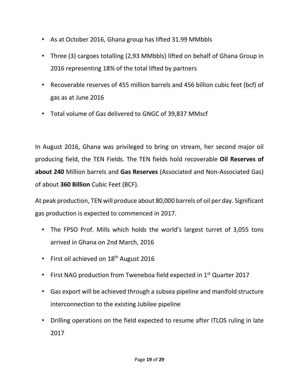- As at October 2016, Ghana group has lifted 31.99 MMbbls
- Three (3) cargoes totalling (2,93 MMbbls) lifted on behalf of Ghana Group in 2016 representing 18% of the total lifted by partners
- Recoverable reserves of 455 million barrels and 456 billion cubic feet (bcf) of gas as at June 2016
- Total volume of Gas delivered to GNGC of 39,837 MMscf

In August 2016, Ghana was privileged to bring on stream, her second major oil producing field, the TEN Fields. The TEN fields hold recoverable **Oil Reserves of about 240** Million barrels and **Gas Reserves** (Associated and Non-Associated Gas) of about **360 Billion** Cubic Feet (BCF).

At peak production, TEN will produce about 80,000 barrels of oil per day. Significant gas production is expected to commenced in 2017.

- The FPSO Prof. Mills which holds the world's largest turret of 3,055 tons arrived in Ghana on 2nd March, 2016
- First oil achieved on 18<sup>th</sup> August 2016
- First NAG production from Tweneboa field expected in 1<sup>st</sup> Quarter 2017
- Gas export will be achieved through a subsea pipeline and manifold structure interconnection to the existing Jubilee pipeline
- Drilling operations on the field expected to resume after ITLOS ruling in late 2017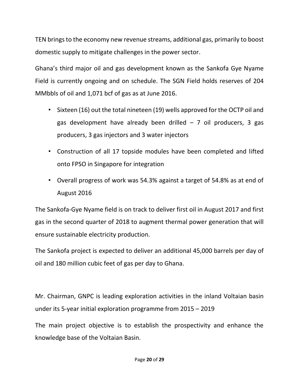TEN brings to the economy new revenue streams, additional gas, primarily to boost domestic supply to mitigate challenges in the power sector.

Ghana's third major oil and gas development known as the Sankofa Gye Nyame Field is currently ongoing and on schedule. The SGN Field holds reserves of 204 MMbbls of oil and 1,071 bcf of gas as at June 2016.

- Sixteen (16) out the total nineteen (19) wells approved for the OCTP oil and gas development have already been drilled  $-7$  oil producers, 3 gas producers, 3 gas injectors and 3 water injectors
- Construction of all 17 topside modules have been completed and lifted onto FPSO in Singapore for integration
- Overall progress of work was 54.3% against a target of 54.8% as at end of August 2016

The Sankofa-Gye Nyame field is on track to deliver first oil in August 2017 and first gas in the second quarter of 2018 to augment thermal power generation that will ensure sustainable electricity production.

The Sankofa project is expected to deliver an additional 45,000 barrels per day of oil and 180 million cubic feet of gas per day to Ghana.

Mr. Chairman, GNPC is leading exploration activities in the inland Voltaian basin under its 5-year initial exploration programme from 2015 – 2019

The main project objective is to establish the prospectivity and enhance the knowledge base of the Voltaian Basin.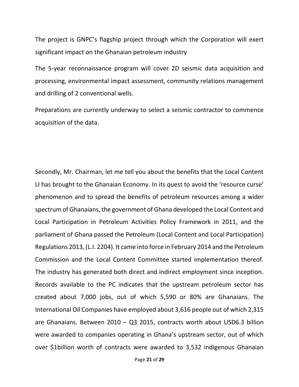The project is GNPC's flagship project through which the Corporation will exert significant impact on the Ghanaian petroleum industry

The 5-year reconnaissance program will cover 2D seismic data acquisition and processing, environmental impact assessment, community relations management and drilling of 2 conventional wells.

Preparations are currently underway to select a seismic contractor to commence acquisition of the data.

Secondly, Mr. Chairman, let me tell you about the benefits that the Local Content LI has brought to the Ghanaian Economy. In its quest to avoid the 'resource curse' phenomenon and to spread the benefits of petroleum resources among a wider spectrum of Ghanaians, the government of Ghana developed the Local Content and Local Participation in Petroleum Activities Policy Framework in 2011, and the parliament of Ghana passed the Petroleum (Local Content and Local Participation) Regulations 2013, (L.I. 2204). It came into force in February 2014 and the Petroleum Commission and the Local Content Committee started implementation thereof. The industry has generated both direct and indirect employment since inception. Records available to the PC indicates that the upstream petroleum sector has created about 7,000 jobs, out of which 5,590 or 80% are Ghanaians. The International Oil Companies have employed about 3,616 people out of which 2,315 are Ghanaians. Between 2010 – Q3 2015, contracts worth about USD6.3 billion were awarded to companies operating in Ghana's upstream sector, out of which over \$1billion worth of contracts were awarded to 3,532 indigenous Ghanaian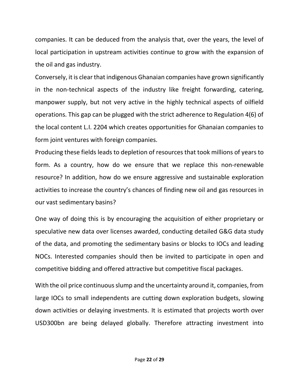companies. It can be deduced from the analysis that, over the years, the level of local participation in upstream activities continue to grow with the expansion of the oil and gas industry.

Conversely, it is clear that indigenous Ghanaian companies have grown significantly in the non-technical aspects of the industry like freight forwarding, catering, manpower supply, but not very active in the highly technical aspects of oilfield operations. This gap can be plugged with the strict adherence to Regulation 4(6) of the local content L.I. 2204 which creates opportunities for Ghanaian companies to form joint ventures with foreign companies.

Producing these fields leads to depletion of resources that took millions of years to form. As a country, how do we ensure that we replace this non-renewable resource? In addition, how do we ensure aggressive and sustainable exploration activities to increase the country's chances of finding new oil and gas resources in our vast sedimentary basins?

One way of doing this is by encouraging the acquisition of either proprietary or speculative new data over licenses awarded, conducting detailed G&G data study of the data, and promoting the sedimentary basins or blocks to IOCs and leading NOCs. Interested companies should then be invited to participate in open and competitive bidding and offered attractive but competitive fiscal packages.

With the oil price continuous slump and the uncertainty around it, companies, from large IOCs to small independents are cutting down exploration budgets, slowing down activities or delaying investments. It is estimated that projects worth over USD300bn are being delayed globally. Therefore attracting investment into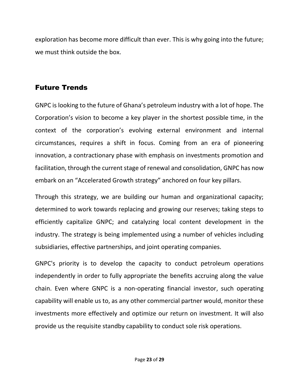exploration has become more difficult than ever. This is why going into the future; we must think outside the box.

## Future Trends

GNPC is looking to the future of Ghana's petroleum industry with a lot of hope. The Corporation's vision to become a key player in the shortest possible time, in the context of the corporation's evolving external environment and internal circumstances, requires a shift in focus. Coming from an era of pioneering innovation, a contractionary phase with emphasis on investments promotion and facilitation, through the current stage of renewal and consolidation, GNPC has now embark on an "Accelerated Growth strategy" anchored on four key pillars.

Through this strategy, we are building our human and organizational capacity; determined to work towards replacing and growing our reserves; taking steps to efficiently capitalize GNPC; and catalyzing local content development in the industry. The strategy is being implemented using a number of vehicles including subsidiaries, effective partnerships, and joint operating companies.

GNPC's priority is to develop the capacity to conduct petroleum operations independently in order to fully appropriate the benefits accruing along the value chain. Even where GNPC is a non-operating financial investor, such operating capability will enable us to, as any other commercial partner would, monitor these investments more effectively and optimize our return on investment. It will also provide us the requisite standby capability to conduct sole risk operations.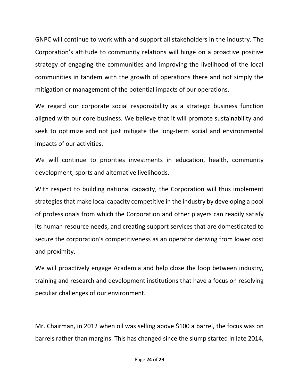GNPC will continue to work with and support all stakeholders in the industry. The Corporation's attitude to community relations will hinge on a proactive positive strategy of engaging the communities and improving the livelihood of the local communities in tandem with the growth of operations there and not simply the mitigation or management of the potential impacts of our operations.

We regard our corporate social responsibility as a strategic business function aligned with our core business. We believe that it will promote sustainability and seek to optimize and not just mitigate the long-term social and environmental impacts of our activities.

We will continue to priorities investments in education, health, community development, sports and alternative livelihoods.

With respect to building national capacity, the Corporation will thus implement strategies that make local capacity competitive in the industry by developing a pool of professionals from which the Corporation and other players can readily satisfy its human resource needs, and creating support services that are domesticated to secure the corporation's competitiveness as an operator deriving from lower cost and proximity.

We will proactively engage Academia and help close the loop between industry, training and research and development institutions that have a focus on resolving peculiar challenges of our environment.

Mr. Chairman, in 2012 when oil was selling above \$100 a barrel, the focus was on barrels rather than margins. This has changed since the slump started in late 2014,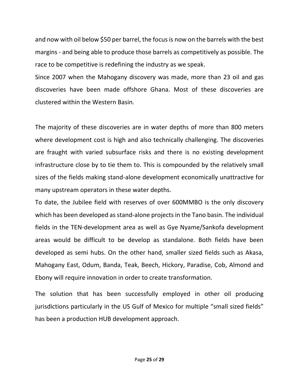and now with oil below \$50 per barrel, the focus is now on the barrels with the best margins - and being able to produce those barrels as competitively as possible. The race to be competitive is redefining the industry as we speak.

Since 2007 when the Mahogany discovery was made, more than 23 oil and gas discoveries have been made offshore Ghana. Most of these discoveries are clustered within the Western Basin.

The majority of these discoveries are in water depths of more than 800 meters where development cost is high and also technically challenging. The discoveries are fraught with varied subsurface risks and there is no existing development infrastructure close by to tie them to. This is compounded by the relatively small sizes of the fields making stand-alone development economically unattractive for many upstream operators in these water depths.

To date, the Jubilee field with reserves of over 600MMBO is the only discovery which has been developed as stand-alone projects in the Tano basin. The individual fields in the TEN-development area as well as Gye Nyame/Sankofa development areas would be difficult to be develop as standalone. Both fields have been developed as semi hubs. On the other hand, smaller sized fields such as Akasa, Mahogany East, Odum, Banda, Teak, Beech, Hickory, Paradise, Cob, Almond and Ebony will require innovation in order to create transformation.

The solution that has been successfully employed in other oil producing jurisdictions particularly in the US Gulf of Mexico for multiple "small sized fields" has been a production HUB development approach.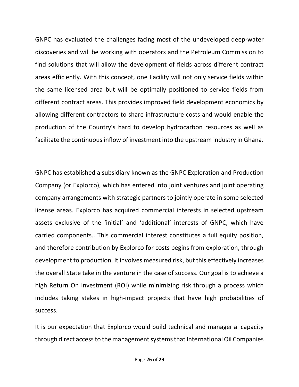GNPC has evaluated the challenges facing most of the undeveloped deep-water discoveries and will be working with operators and the Petroleum Commission to find solutions that will allow the development of fields across different contract areas efficiently. With this concept, one Facility will not only service fields within the same licensed area but will be optimally positioned to service fields from different contract areas. This provides improved field development economics by allowing different contractors to share infrastructure costs and would enable the production of the Country's hard to develop hydrocarbon resources as well as facilitate the continuous inflow of investment into the upstream industry in Ghana.

GNPC has established a subsidiary known as the GNPC Exploration and Production Company (or Explorco), which has entered into joint ventures and joint operating company arrangements with strategic partners to jointly operate in some selected license areas. Explorco has acquired commercial interests in selected upstream assets exclusive of the 'initial' and 'additional' interests of GNPC, which have carried components.. This commercial interest constitutes a full equity position, and therefore contribution by Explorco for costs begins from exploration, through development to production. It involves measured risk, but this effectively increases the overall State take in the venture in the case of success. Our goal is to achieve a high Return On Investment (ROI) while minimizing risk through a process which includes taking stakes in high-impact projects that have high probabilities of success.

It is our expectation that Explorco would build technical and managerial capacity through direct access to the management systems that International Oil Companies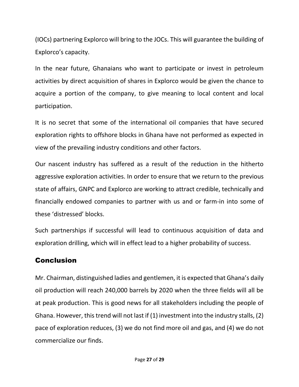(IOCs) partnering Explorco will bring to the JOCs. This will guarantee the building of Explorco's capacity.

In the near future, Ghanaians who want to participate or invest in petroleum activities by direct acquisition of shares in Explorco would be given the chance to acquire a portion of the company, to give meaning to local content and local participation.

It is no secret that some of the international oil companies that have secured exploration rights to offshore blocks in Ghana have not performed as expected in view of the prevailing industry conditions and other factors.

Our nascent industry has suffered as a result of the reduction in the hitherto aggressive exploration activities. In order to ensure that we return to the previous state of affairs, GNPC and Explorco are working to attract credible, technically and financially endowed companies to partner with us and or farm-in into some of these 'distressed' blocks.

Such partnerships if successful will lead to continuous acquisition of data and exploration drilling, which will in effect lead to a higher probability of success.

## **Conclusion**

Mr. Chairman, distinguished ladies and gentlemen, it is expected that Ghana's daily oil production will reach 240,000 barrels by 2020 when the three fields will all be at peak production. This is good news for all stakeholders including the people of Ghana. However, this trend will not last if (1) investment into the industry stalls, (2) pace of exploration reduces, (3) we do not find more oil and gas, and (4) we do not commercialize our finds.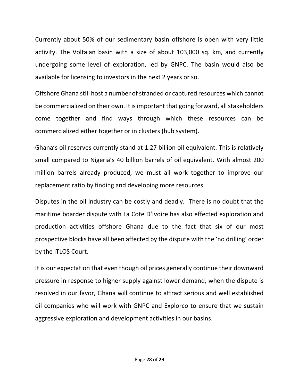Currently about 50% of our sedimentary basin offshore is open with very little activity. The Voltaian basin with a size of about 103,000 sq. km, and currently undergoing some level of exploration, led by GNPC. The basin would also be available for licensing to investors in the next 2 years or so.

Offshore Ghana still host a number of stranded or captured resources which cannot be commercialized on their own. It is important that going forward, all stakeholders come together and find ways through which these resources can be commercialized either together or in clusters (hub system).

Ghana's oil reserves currently stand at 1.27 billion oil equivalent. This is relatively small compared to Nigeria's 40 billion barrels of oil equivalent. With almost 200 million barrels already produced, we must all work together to improve our replacement ratio by finding and developing more resources.

Disputes in the oil industry can be costly and deadly. There is no doubt that the maritime boarder dispute with La Cote D'Ivoire has also effected exploration and production activities offshore Ghana due to the fact that six of our most prospective blocks have all been affected by the dispute with the 'no drilling' order by the ITLOS Court.

It is our expectation that even though oil prices generally continue their downward pressure in response to higher supply against lower demand, when the dispute is resolved in our favor, Ghana will continue to attract serious and well established oil companies who will work with GNPC and Explorco to ensure that we sustain aggressive exploration and development activities in our basins.